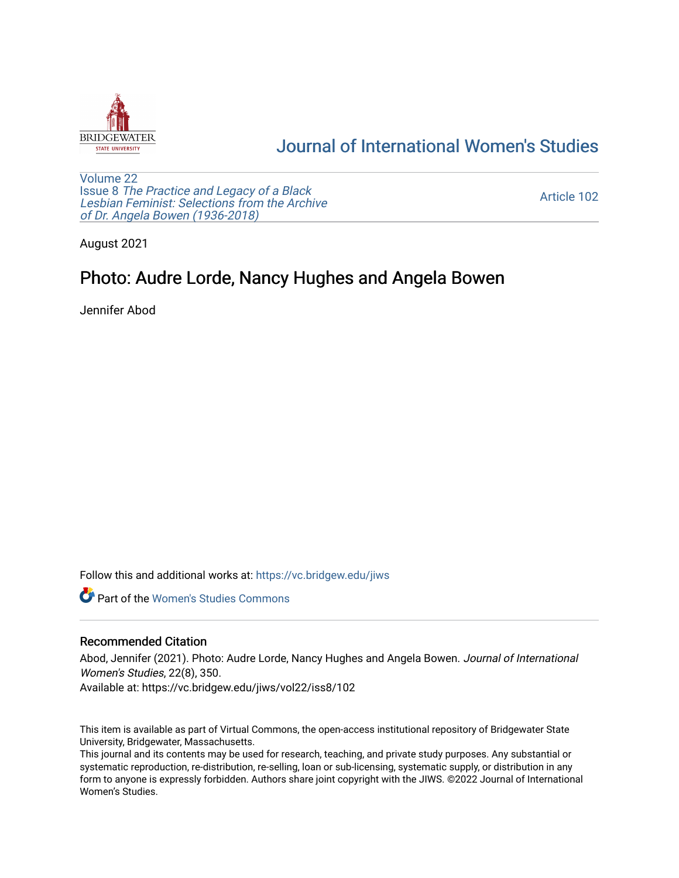

## [Journal of International Women's Studies](https://vc.bridgew.edu/jiws)

[Volume 22](https://vc.bridgew.edu/jiws/vol22) Issue 8 [The Practice and Legacy of a Black](https://vc.bridgew.edu/jiws/vol22/iss8)  [Lesbian Feminist: Selections from the Archive](https://vc.bridgew.edu/jiws/vol22/iss8)  [of Dr. Angela Bowen \(1936-2018\)](https://vc.bridgew.edu/jiws/vol22/iss8)

[Article 102](https://vc.bridgew.edu/jiws/vol22/iss8/102) 

August 2021

## Photo: Audre Lorde, Nancy Hughes and Angela Bowen

Jennifer Abod

Follow this and additional works at: [https://vc.bridgew.edu/jiws](https://vc.bridgew.edu/jiws?utm_source=vc.bridgew.edu%2Fjiws%2Fvol22%2Fiss8%2F102&utm_medium=PDF&utm_campaign=PDFCoverPages)

**C** Part of the Women's Studies Commons

## Recommended Citation

Abod, Jennifer (2021). Photo: Audre Lorde, Nancy Hughes and Angela Bowen. Journal of International Women's Studies, 22(8), 350.

Available at: https://vc.bridgew.edu/jiws/vol22/iss8/102

This item is available as part of Virtual Commons, the open-access institutional repository of Bridgewater State University, Bridgewater, Massachusetts.

This journal and its contents may be used for research, teaching, and private study purposes. Any substantial or systematic reproduction, re-distribution, re-selling, loan or sub-licensing, systematic supply, or distribution in any form to anyone is expressly forbidden. Authors share joint copyright with the JIWS. ©2022 Journal of International Women's Studies.